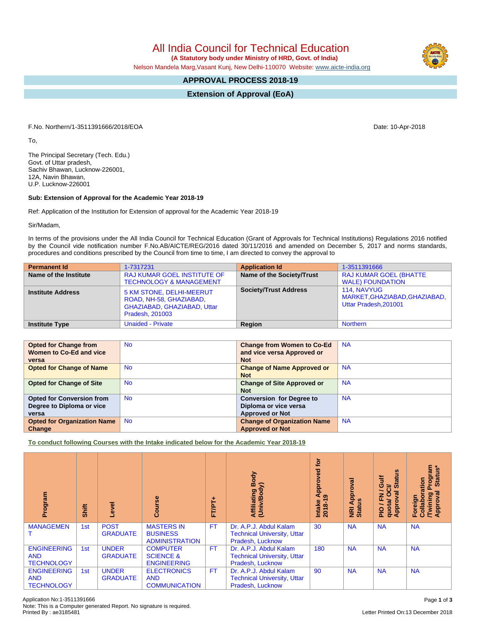Note: This is a Computer generated Report. No signature is required.

All India Council for Technical Education

 **(A Statutory body under Ministry of HRD, Govt. of India)**

Nelson Mandela Marg,Vasant Kunj, New Delhi-110070 Website: [www.aicte-india.org](http://www.aicte-india.org)

## **APPROVAL PROCESS 2018-19**

**Extension of Approval (EoA)**

F.No. Northern/1-3511391666/2018/EOA Date: 10-Apr-2018

To,

The Principal Secretary (Tech. Edu.) Govt. of Uttar pradesh, Sachiv Bhawan, Lucknow-226001, 12A, Navin Bhawan, U.P. Lucknow-226001

## **Sub: Extension of Approval for the Academic Year 2018-19**

Ref: Application of the Institution for Extension of approval for the Academic Year 2018-19

Sir/Madam,

In terms of the provisions under the All India Council for Technical Education (Grant of Approvals for Technical Institutions) Regulations 2016 notified by the Council vide notification number F.No.AB/AICTE/REG/2016 dated 30/11/2016 and amended on December 5, 2017 and norms standards, procedures and conditions prescribed by the Council from time to time, I am directed to convey the approval to

| <b>Permanent Id</b>      | 1-7317231                                                                                             | <b>Application Id</b>        | 1-3511391666                                                                 |
|--------------------------|-------------------------------------------------------------------------------------------------------|------------------------------|------------------------------------------------------------------------------|
| Name of the Institute    | <b>RAJ KUMAR GOEL INSTITUTE OF</b><br><b>TECHNOLOGY &amp; MANAGEMENT</b>                              | Name of the Society/Trust    | <b>RAJ KUMAR GOEL (BHATTE</b><br><b>WALE) FOUNDATION</b>                     |
| <b>Institute Address</b> | 5 KM STONE, DELHI-MEERUT<br>ROAD, NH-58, GHAZIABAD,<br>GHAZIABAD, GHAZIABAD, Uttar<br>Pradesh, 201003 | <b>Society/Trust Address</b> | <b>114. NAVYUG</b><br>MARKET, GHAZIABAD, GHAZIABAD,<br>Uttar Pradesh, 201001 |
| <b>Institute Type</b>    | <b>Unaided - Private</b>                                                                              | Region                       | <b>Northern</b>                                                              |

| <b>Opted for Change from</b><br>Women to Co-Ed and vice                | <b>No</b> | <b>Change from Women to Co-Ed</b><br>and vice versa Approved or<br><b>Not</b>      | <b>NA</b> |
|------------------------------------------------------------------------|-----------|------------------------------------------------------------------------------------|-----------|
| versa<br><b>Opted for Change of Name</b>                               | <b>No</b> | <b>Change of Name Approved or</b><br><b>Not</b>                                    | <b>NA</b> |
| <b>Opted for Change of Site</b>                                        | <b>No</b> | <b>Change of Site Approved or</b><br><b>Not</b>                                    | <b>NA</b> |
| <b>Opted for Conversion from</b><br>Degree to Diploma or vice<br>versa | <b>No</b> | <b>Conversion for Degree to</b><br>Diploma or vice versa<br><b>Approved or Not</b> | <b>NA</b> |
| <b>Opted for Organization Name</b><br>Change                           | <b>No</b> | <b>Change of Organization Name</b><br><b>Approved or Not</b>                       | <b>NA</b> |

**To conduct following Courses with the Intake indicated below for the Academic Year 2018-19**

| Program                                               | Shift | g                               | $\frac{6}{5}$<br>Ō                                            | FT/PT+    | Body<br>옹<br>Affiliating<br>(Univ/Body                                           | ē<br>ठ<br>õ<br>Approv<br>ග<br>$2018 - 19$<br>Intake | ड़<br><b>Appro</b><br><b>NRI Ap</b><br>Status | g<br>Guif<br>∍<br><b>in</b><br>ပ္ပ<br>∽<br>त्त<br>준<br>quotal<br>Appro<br>$\frac{1}{2}$ | rogram<br>Status*<br>Collaboration<br>Ō.<br>ह<br>δu<br>Foreign<br>/Twinir<br>Appro |
|-------------------------------------------------------|-------|---------------------------------|---------------------------------------------------------------|-----------|----------------------------------------------------------------------------------|-----------------------------------------------------|-----------------------------------------------|-----------------------------------------------------------------------------------------|------------------------------------------------------------------------------------|
| <b>MANAGEMEN</b>                                      | 1st   | <b>POST</b><br><b>GRADUATE</b>  | <b>MASTERS IN</b><br><b>BUSINESS</b><br><b>ADMINISTRATION</b> | <b>FT</b> | Dr. A.P.J. Abdul Kalam<br><b>Technical University, Uttar</b><br>Pradesh, Lucknow | 30                                                  | <b>NA</b>                                     | <b>NA</b>                                                                               | <b>NA</b>                                                                          |
| <b>ENGINEERING</b><br><b>AND</b><br><b>TECHNOLOGY</b> | 1st   | <b>UNDER</b><br><b>GRADUATE</b> | <b>COMPUTER</b><br><b>SCIENCE &amp;</b><br><b>ENGINEERING</b> | <b>FT</b> | Dr. A.P.J. Abdul Kalam<br><b>Technical University, Uttar</b><br>Pradesh, Lucknow | 180                                                 | <b>NA</b>                                     | <b>NA</b>                                                                               | <b>NA</b>                                                                          |
| <b>ENGINEERING</b><br><b>AND</b><br><b>TECHNOLOGY</b> | 1st   | <b>UNDER</b><br><b>GRADUATE</b> | <b>ELECTRONICS</b><br><b>AND</b><br><b>COMMUNICATION</b>      | <b>FT</b> | Dr. A.P.J. Abdul Kalam<br><b>Technical University, Uttar</b><br>Pradesh, Lucknow | 90                                                  | <b>NA</b>                                     | <b>NA</b>                                                                               | <b>NA</b>                                                                          |

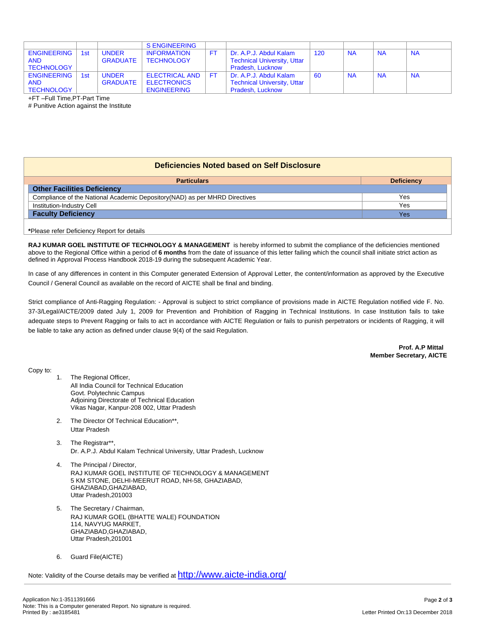|                    |     |                 | <b>S ENGINEERING</b>  |                                    |     |           |           |           |
|--------------------|-----|-----------------|-----------------------|------------------------------------|-----|-----------|-----------|-----------|
| <b>ENGINEERING</b> | 1st | <b>UNDER</b>    | <b>INFORMATION</b>    | Dr. A.P.J. Abdul Kalam             | 120 | <b>NA</b> | <b>NA</b> | <b>NA</b> |
| <b>AND</b>         |     | <b>GRADUATE</b> | <b>TECHNOLOGY</b>     | <b>Technical University, Uttar</b> |     |           |           |           |
| <b>TECHNOLOGY</b>  |     |                 |                       | Pradesh, Lucknow                   |     |           |           |           |
| <b>ENGINEERING</b> | 1st | <b>UNDER</b>    | <b>ELECTRICAL AND</b> | Dr. A.P.J. Abdul Kalam             | 60  | <b>NA</b> | <b>NA</b> | <b>NA</b> |
| <b>AND</b>         |     | <b>GRADUATE</b> | <b>ELECTRONICS</b>    | <b>Technical University, Uttar</b> |     |           |           |           |
| TECHNOLOGY         |     |                 | <b>ENGINEERING</b>    | Pradesh, Lucknow                   |     |           |           |           |

+FT –Full Time,PT-Part Time

# Punitive Action against the Institute

|  | Deficiencies Noted based on Self Disclosure |  |  |
|--|---------------------------------------------|--|--|
|--|---------------------------------------------|--|--|

| <b>Deficiency</b> |
|-------------------|
|                   |
| Yes               |
| Yes               |
| Yes               |
|                   |
|                   |

**RAJ KUMAR GOEL INSTITUTE OF TECHNOLOGY & MANAGEMENT** is hereby informed to submit the compliance of the deficiencies mentioned above to the Regional Office within a period of **6 months** from the date of issuance of this letter failing which the council shall initiate strict action as defined in Approval Process Handbook 2018-19 during the subsequent Academic Year.

In case of any differences in content in this Computer generated Extension of Approval Letter, the content/information as approved by the Executive Council / General Council as available on the record of AICTE shall be final and binding.

Strict compliance of Anti-Ragging Regulation: - Approval is subject to strict compliance of provisions made in AICTE Regulation notified vide F. No. 37-3/Legal/AICTE/2009 dated July 1, 2009 for Prevention and Prohibition of Ragging in Technical Institutions. In case Institution fails to take adequate steps to Prevent Ragging or fails to act in accordance with AICTE Regulation or fails to punish perpetrators or incidents of Ragging, it will be liable to take any action as defined under clause 9(4) of the said Regulation.

> **Prof. A.P Mittal Member Secretary, AICTE**

Copy to:

- 1. The Regional Officer, All India Council for Technical Education Govt. Polytechnic Campus Adjoining Directorate of Technical Education Vikas Nagar, Kanpur-208 002, Uttar Pradesh
- 2. The Director Of Technical Education\*\*, Uttar Pradesh
- 3. The Registrar\*\*, Dr. A.P.J. Abdul Kalam Technical University, Uttar Pradesh, Lucknow
- 4. The Principal / Director, RAJ KUMAR GOEL INSTITUTE OF TECHNOLOGY & MANAGEMENT 5 KM STONE, DELHI-MEERUT ROAD, NH-58, GHAZIABAD, GHAZIABAD,GHAZIABAD, Uttar Pradesh,201003
- 5. The Secretary / Chairman, RAJ KUMAR GOEL (BHATTE WALE) FOUNDATION 114, NAVYUG MARKET, GHAZIABAD,GHAZIABAD, Uttar Pradesh,201001
- 6. Guard File(AICTE)

Note: Validity of the Course details may be verified at <http://www.aicte-india.org/>